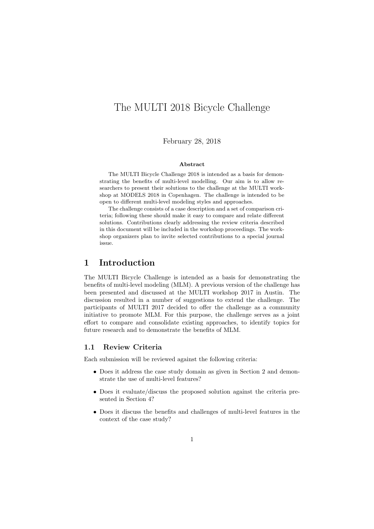# The MULTI 2018 Bicycle Challenge

February 28, 2018

#### Abstract

The MULTI Bicycle Challenge 2018 is intended as a basis for demonstrating the benefits of multi-level modelling. Our aim is to allow researchers to present their solutions to the challenge at the MULTI workshop at MODELS 2018 in Copenhagen. The challenge is intended to be open to different multi-level modeling styles and approaches.

The challenge consists of a case description and a set of comparison criteria; following these should make it easy to compare and relate different solutions. Contributions clearly addressing the review criteria described in this document will be included in the workshop proceedings. The workshop organizers plan to invite selected contributions to a special journal issue.

### 1 Introduction

The MULTI Bicycle Challenge is intended as a basis for demonstrating the benefits of multi-level modeling (MLM). A previous version of the challenge has been presented and discussed at the MULTI workshop 2017 in Austin. The discussion resulted in a number of suggestions to extend the challenge. The participants of MULTI 2017 decided to offer the challenge as a community initiative to promote MLM. For this purpose, the challenge serves as a joint effort to compare and consolidate existing approaches, to identify topics for future research and to demonstrate the benefits of MLM.

#### 1.1 Review Criteria

Each submission will be reviewed against the following criteria:

- Does it address the case study domain as given in Section 2 and demonstrate the use of multi-level features?
- Does it evaluate/discuss the proposed solution against the criteria presented in Section 4?
- Does it discuss the benefits and challenges of multi-level features in the context of the case study?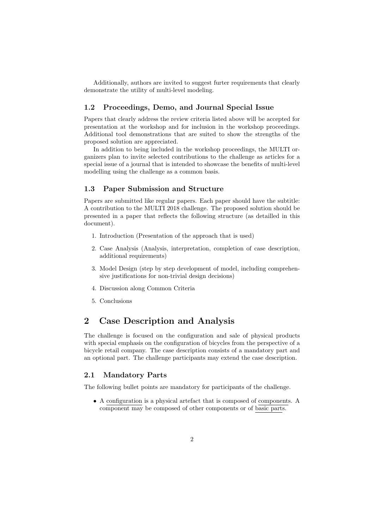Additionally, authors are invited to suggest furter requirements that clearly demonstrate the utility of multi-level modeling.

#### 1.2 Proceedings, Demo, and Journal Special Issue

Papers that clearly address the review criteria listed above will be accepted for presentation at the workshop and for inclusion in the workshop proceedings. Additional tool demonstrations that are suited to show the strengths of the proposed solution are appreciated.

In addition to being included in the workshop proceedings, the MULTI organizers plan to invite selected contributions to the challenge as articles for a special issue of a journal that is intended to showcase the benefits of multi-level modelling using the challenge as a common basis.

### 1.3 Paper Submission and Structure

Papers are submitted like regular papers. Each paper should have the subtitle: A contribution to the MULTI 2018 challenge. The proposed solution should be presented in a paper that reflects the following structure (as detailled in this document).

- 1. Introduction (Presentation of the approach that is used)
- 2. Case Analysis (Analysis, interpretation, completion of case description, additional requirements)
- 3. Model Design (step by step development of model, including comprehensive justifications for non-trivial design decisions)
- 4. Discussion along Common Criteria
- 5. Conclusions

## 2 Case Description and Analysis

The challenge is focused on the configuration and sale of physical products with special emphasis on the configuration of bicycles from the perspective of a bicycle retail company. The case description consists of a mandatory part and an optional part. The challenge participants may extend the case description.

#### 2.1 Mandatory Parts

The following bullet points are mandatory for participants of the challenge.

• A configuration is a physical artefact that is composed of components. A component may be composed of other components or of basic parts.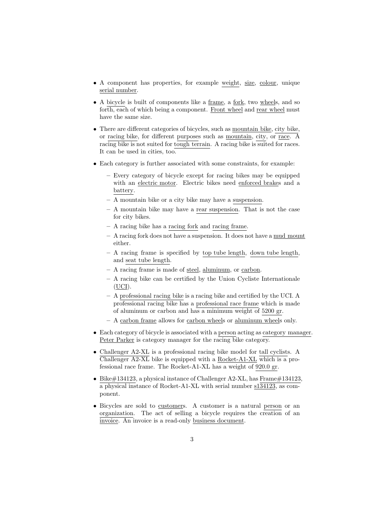- A component has properties, for example weight, size, colour, unique serial number.
- A bicycle is built of components like a frame, a fork, two wheels, and so forth, each of which being a component. Front wheel and rear wheel must have the same size.
- There are different categories of bicycles, such as mountain bike, city bike, or racing bike, for different purposes such as mountain, city, or race. A racing bike is not suited for tough terrain. A racing bike is suited for races. It can be used in cities, too.
- Each category is further associated with some constraints, for example:
	- Every category of bicycle except for racing bikes may be equipped with an electric motor. Electric bikes need enforced brakes and a battery.
	- A mountain bike or a city bike may have a suspension.
	- A mountain bike may have a rear suspension. That is not the case for city bikes.
	- A racing bike has a racing fork and racing frame.
	- A racing fork does not have a suspension. It does not have a mud mount either.
	- A racing frame is specified by top tube length, down tube length, and seat tube length.
	- A racing frame is made of steel, aluminum, or carbon.
	- A racing bike can be certified by the Union Cycliste Internationale (UCI).
	- A professional racing bike is a racing bike and certified by the UCI. A professional racing bike has a professional race frame which is made of aluminum or carbon and has a minimum weight of 5200 gr.
	- A carbon frame allows for carbon wheels or aluminum wheels only.
- Each category of bicycle is associated with a person acting as category manager. Peter Parker is category manager for the racing bike category.
- Challenger A2-XL is a professional racing bike model for tall cyclists. A Challenger A2-XL bike is equipped with a Rocket-A1-XL which is a professional race frame. The Rocket-A1-XL has a weight of 920.0 gr.
- Bike $\#134123$ , a physical instance of Challenger A2-XL, has Frame $\#134123$ , a physical instance of Rocket-A1-XL with serial number s134123, as component.
- Bicycles are sold to customers. A customer is a natural person or an organization. The act of selling a bicycle requires the creation of an invoice. An invoice is a read-only business document.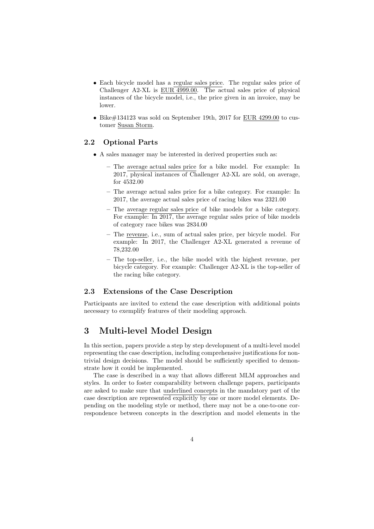- Each bicycle model has a regular sales price. The regular sales price of Challenger A2-XL is EUR 4999.00. The actual sales price of physical instances of the bicycle model, i.e., the price given in an invoice, may be lower.
- Bike#134123 was sold on September 19th, 2017 for EUR 4299.00 to customer Susan Storm.

#### 2.2 Optional Parts

- A sales manager may be interested in derived properties such as:
	- The average actual sales price for a bike model. For example: In 2017, physical instances of Challenger A2-XL are sold, on average, for 4532.00
	- The average actual sales price for a bike category. For example: In 2017, the average actual sales price of racing bikes was 2321.00
	- The average regular sales price of bike models for a bike category. For example: In 2017, the average regular sales price of bike models of category race bikes was 2834.00
	- The revenue, i.e., sum of actual sales price, per bicycle model. For example: In 2017, the Challenger A2-XL generated a revenue of 78,232.00
	- The top-seller, i.e., the bike model with the highest revenue, per bicycle category. For example: Challenger A2-XL is the top-seller of the racing bike category.

### 2.3 Extensions of the Case Description

Participants are invited to extend the case description with additional points necessary to exemplify features of their modeling approach.

### 3 Multi-level Model Design

In this section, papers provide a step by step development of a multi-level model representing the case description, including comprehensive justifications for nontrivial design decisions. The model should be sufficiently specified to demonstrate how it could be implemented.

The case is described in a way that allows different MLM approaches and styles. In order to foster comparability between challenge papers, participants are asked to make sure that underlined concepts in the mandatory part of the case description are represented explicitly by one or more model elements. Depending on the modeling style or method, there may not be a one-to-one correspondence between concepts in the description and model elements in the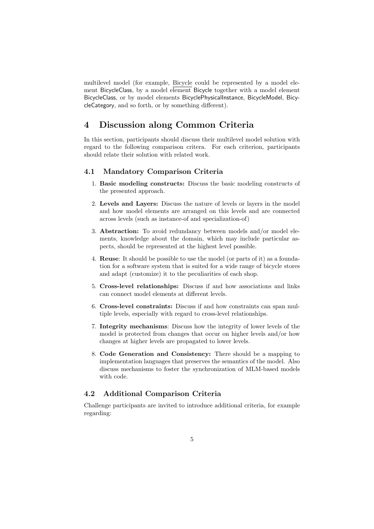multilevel model (for example, Bicycle could be represented by a model element BicycleClass, by a model element Bicycle together with a model element BicycleClass, or by model elements BicyclePhysicalInstance, BicycleModel, BicycleCategory, and so forth, or by something different).

### 4 Discussion along Common Criteria

In this section, participants should discuss their multilevel model solution with regard to the following comparison critera. For each criterion, participants should relate their solution with related work.

#### 4.1 Mandatory Comparison Criteria

- 1. Basic modeling constructs: Discuss the basic modeling constructs of the presented approach.
- 2. Levels and Layers: Discuss the nature of levels or layers in the model and how model elements are arranged on this levels and are connected across levels (such as instance-of and specialization-of)
- 3. Abstraction: To avoid redundancy between models and/or model elements, knowledge about the domain, which may include particular aspects, should be represented at the highest level possible.
- 4. Reuse: It should be possible to use the model (or parts of it) as a foundation for a software system that is suited for a wide range of bicycle stores and adapt (customize) it to the peculiarities of each shop.
- 5. Cross-level relationships: Discuss if and how associations and links can connect model elements at different levels.
- 6. Cross-level constraints: Discuss if and how constraints can span multiple levels, especially with regard to cross-level relationships.
- 7. Integrity mechanisms: Discuss how the integrity of lower levels of the model is protected from changes that occur on higher levels and/or how changes at higher levels are propagated to lower levels.
- 8. Code Generation and Consistency: There should be a mapping to implementation languages that preserves the semantics of the model. Also discuss mechanisms to foster the synchronization of MLM-based models with code.

#### 4.2 Additional Comparison Criteria

Challenge participants are invited to introduce additional criteria, for example regarding: